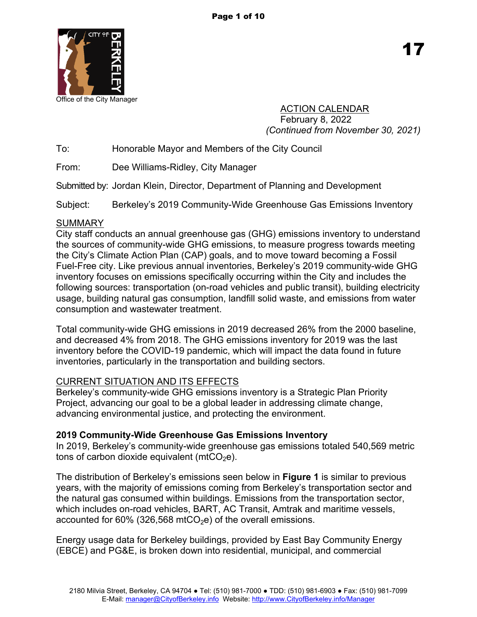

Office of the City Manager

ACTION CALENDAR February 8, 2022 *(Continued from November 30, 2021)*

To: Honorable Mayor and Members of the City Council

From: Dee Williams-Ridley, City Manager

Submitted by: Jordan Klein, Director, Department of Planning and Development

Subject: Berkeley's 2019 Community-Wide Greenhouse Gas Emissions Inventory

# **SUMMARY**

City staff conducts an annual greenhouse gas (GHG) emissions inventory to understand the sources of community-wide GHG emissions, to measure progress towards meeting the City's Climate Action Plan (CAP) goals, and to move toward becoming a Fossil Fuel-Free city. Like previous annual inventories, Berkeley's 2019 community-wide GHG inventory focuses on emissions specifically occurring within the City and includes the following sources: transportation (on-road vehicles and public transit), building electricity usage, building natural gas consumption, landfill solid waste, and emissions from water consumption and wastewater treatment.

Total community-wide GHG emissions in 2019 decreased 26% from the 2000 baseline, and decreased 4% from 2018. The GHG emissions inventory for 2019 was the last inventory before the COVID-19 pandemic, which will impact the data found in future inventories, particularly in the transportation and building sectors.

# CURRENT SITUATION AND ITS EFFECTS

Berkeley's community-wide GHG emissions inventory is a Strategic Plan Priority Project, advancing our goal to be a global leader in addressing climate change, advancing environmental justice, and protecting the environment.

# **2019 Community-Wide Greenhouse Gas Emissions Inventory**

In 2019, Berkeley's community-wide greenhouse gas emissions totaled 540,569 metric tons of carbon dioxide equivalent (mtCO<sub>2</sub>e).

The distribution of Berkeley's emissions seen below in **Figure 1** is similar to previous years, with the majority of emissions coming from Berkeley's transportation sector and the natural gas consumed within buildings. Emissions from the transportation sector, which includes on-road vehicles, BART, AC Transit, Amtrak and maritime vessels, accounted for  $60\%$  (326,568 mtCO<sub>2</sub>e) of the overall emissions.

Energy usage data for Berkeley buildings, provided by East Bay Community Energy (EBCE) and PG&E, is broken down into residential, municipal, and commercial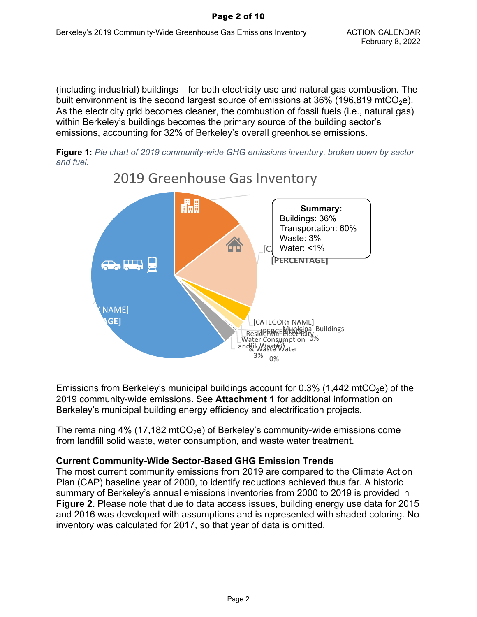(including industrial) buildings—for both electricity use and natural gas combustion. The built environment is the second largest source of emissions at  $36\%$  (196,819 mtCO<sub>2</sub>e). As the electricity grid becomes cleaner, the combustion of fossil fuels (i.e., natural gas) within Berkeley's buildings becomes the primary source of the building sector's emissions, accounting for 32% of Berkeley's overall greenhouse emissions.





2019 Greenhouse Gas Inventory

Emissions from Berkeley's municipal buildings account for 0.3% (1,442 mtCO<sub>2</sub>e) of the 2019 community-wide emissions. See **Attachment 1** for additional information on Berkeley's municipal building energy efficiency and electrification projects.

The remaining 4% (17,182 mtCO<sub>2</sub>e) of Berkeley's community-wide emissions come from landfill solid waste, water consumption, and waste water treatment.

# **Current Community-Wide Sector-Based GHG Emission Trends**

The most current community emissions from 2019 are compared to the Climate Action Plan (CAP) baseline year of 2000, to identify reductions achieved thus far. A historic summary of Berkeley's annual emissions inventories from 2000 to 2019 is provided in **Figure 2**. Please note that due to data access issues, building energy use data for 2015 and 2016 was developed with assumptions and is represented with shaded coloring. No inventory was calculated for 2017, so that year of data is omitted.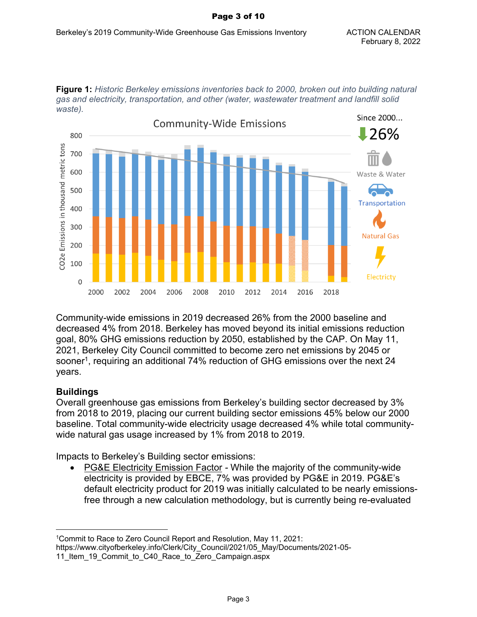#### Page 3 of 10





Community-wide emissions in 2019 decreased 26% from the 2000 baseline and decreased 4% from 2018. Berkeley has moved beyond its initial emissions reduction goal, 80% GHG emissions reduction by 2050, established by the CAP. On May 11, 2021, Berkeley City Council committed to become zero net emissions by 2045 or sooner<sup>1</sup> , requiring an additional 74% reduction of GHG emissions over the next 24 years.

## **Buildings**

Overall greenhouse gas emissions from Berkeley's building sector decreased by 3% from 2018 to 2019, placing our current building sector emissions 45% below our 2000 baseline. Total community-wide electricity usage decreased 4% while total communitywide natural gas usage increased by 1% from 2018 to 2019.

Impacts to Berkeley's Building sector emissions:

 PG&E Electricity Emission Factor *-* While the majority of the community-wide electricity is provided by EBCE, 7% was provided by PG&E in 2019. PG&E's default electricity product for 2019 was initially calculated to be nearly emissionsfree through a new calculation methodology, but is currently being re-evaluated

<sup>1</sup>Commit to Race to Zero Council Report and Resolution, May 11, 2021: https://www.cityofberkeley.info/Clerk/City\_Council/2021/05\_May/Documents/2021-05-

<sup>11</sup>\_Item\_19\_Commit\_to\_C40\_Race\_to\_Zero\_Campaign.aspx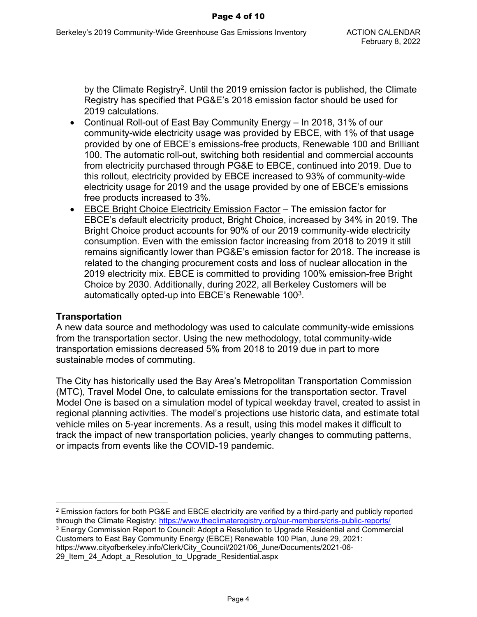by the Climate Registry<sup>2</sup>. Until the 2019 emission factor is published, the Climate Registry has specified that PG&E's 2018 emission factor should be used for 2019 calculations.

- Continual Roll-out of East Bay Community Energy In 2018, 31% of our community-wide electricity usage was provided by EBCE, with 1% of that usage provided by one of EBCE's emissions-free products, Renewable 100 and Brilliant 100. The automatic roll-out, switching both residential and commercial accounts from electricity purchased through PG&E to EBCE, continued into 2019. Due to this rollout, electricity provided by EBCE increased to 93% of community-wide electricity usage for 2019 and the usage provided by one of EBCE's emissions free products increased to 3%.
- EBCE Bright Choice Electricity Emission Factor The emission factor for EBCE's default electricity product, Bright Choice, increased by 34% in 2019. The Bright Choice product accounts for 90% of our 2019 community-wide electricity consumption. Even with the emission factor increasing from 2018 to 2019 it still remains significantly lower than PG&E's emission factor for 2018. The increase is related to the changing procurement costs and loss of nuclear allocation in the 2019 electricity mix. EBCE is committed to providing 100% emission-free Bright Choice by 2030. Additionally, during 2022, all Berkeley Customers will be automatically opted-up into EBCE's Renewable 100<sup>3</sup>.

#### **Transportation**

A new data source and methodology was used to calculate community-wide emissions from the transportation sector. Using the new methodology, total community-wide transportation emissions decreased 5% from 2018 to 2019 due in part to more sustainable modes of commuting.

The City has historically used the Bay Area's Metropolitan Transportation Commission (MTC), Travel Model One, to calculate emissions for the transportation sector. Travel Model One is based on a simulation model of typical weekday travel, created to assist in regional planning activities. The model's projections use historic data, and estimate total vehicle miles on 5-year increments. As a result, using this model makes it difficult to track the impact of new transportation policies, yearly changes to commuting patterns, or impacts from events like the COVID-19 pandemic.

29\_Item\_24\_Adopt\_a\_Resolution\_to\_Upgrade\_Residential.aspx

 $^2$  Emission factors for both PG&E and EBCE electricity are verified by a third-party and publicly reported through the Climate Registry: [https://www.theclimateregistry.org/our-members/cris-public-reports/](https://www.theclimateregistry.org/our-members/cris-public-reports/%20)

 $\rm ^3$  Energy Commission Report to Council: Adopt a Resolution to Upgrade Residential and Commercial Customers to East Bay Community Energy (EBCE) Renewable 100 Plan, June 29, 2021: https://www.cityofberkeley.info/Clerk/City\_Council/2021/06\_June/Documents/2021-06-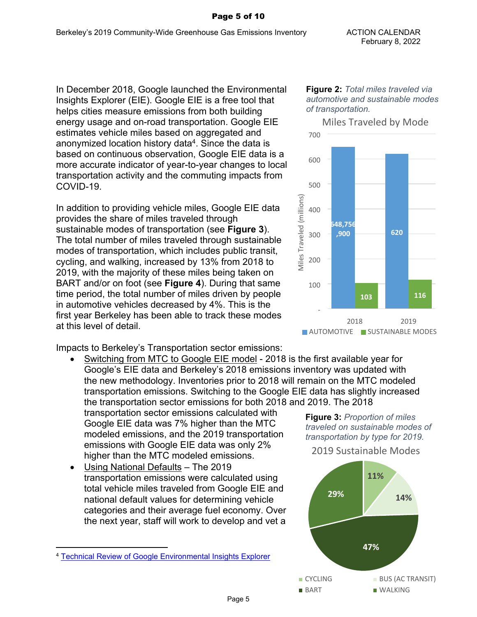#### Page 5 of 10

In December 2018, Google launched the Environmental Insights Explorer (EIE). Google EIE is a free tool that helps cities measure emissions from both building energy usage and on-road transportation. Google EIE estimates vehicle miles based on aggregated and anonymized location history data<sup>4</sup>. Since the data is based on continuous observation, Google EIE data is a more accurate indicator of year-to-year changes to local transportation activity and the commuting impacts from COVID-19.

In addition to providing vehicle miles, Google EIE data provides the share of miles traveled through sustainable modes of transportation (see **Figure 3**). The total number of miles traveled through sustainable modes of transportation, which includes public transit, cycling, and walking, increased by 13% from 2018 to 2019, with the majority of these miles being taken on BART and/or on foot (see **Figure 4**). During that same time period, the total number of miles driven by people in automotive vehicles decreased by 4%. This is the first year Berkeley has been able to track these modes at this level of detail.

Impacts to Berkeley's Transportation sector emissions:

 Switching from MTC to Google EIE model - 2018 is the first available year for Google's EIE data and Berkeley's 2018 emissions inventory was updated with the new methodology. Inventories prior to 2018 will remain on the MTC modeled transportation emissions. Switching to the Google EIE data has slightly increased the transportation sector emissions for both 2018 and 2019. The 2018

transportation sector emissions calculated with Google EIE data was 7% higher than the MTC modeled emissions, and the 2019 transportation emissions with Google EIE data was only 2% higher than the MTC modeled emissions.

 Using National Defaults – The 2019 transportation emissions were calculated using total vehicle miles traveled from Google EIE and national default values for determining vehicle categories and their average fuel economy. Over the next year, staff will work to develop and vet a

#### **Figure 2:** *Total miles traveled via automotive and sustainable modes of transportation.*



**Figure 3:** *Proportion of miles traveled on sustainable modes of transportation by type for 2019.*

2019 Sustainable Modes



<sup>4</sup> [Technical Review of Google Environmental Insights Explorer](https://www.gstatic.com/environmental-insights-team/papers/Technical_Review_of_Google_Environmental_Insights_Explorer_Data_for_Local_Greenhouse_Gas_Inventories_ICLEI-USA_August_2019.pdf)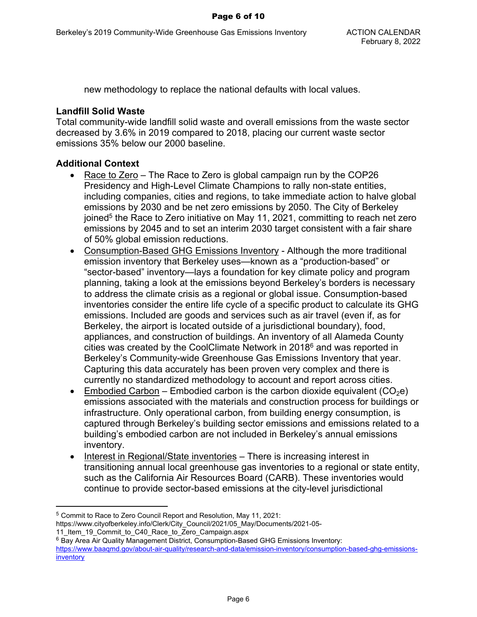new methodology to replace the national defaults with local values.

## **Landfill Solid Waste**

Total community-wide landfill solid waste and overall emissions from the waste sector decreased by 3.6% in 2019 compared to 2018, placing our current waste sector emissions 35% below our 2000 baseline.

# **Additional Context**

- Race to Zero The Race to Zero is global campaign run by the COP26 Presidency and High-Level Climate Champions to rally non-state entities, including companies, cities and regions, to take immediate action to halve global emissions by 2030 and be net zero emissions by 2050. The City of Berkeley joined<sup>5</sup> the Race to Zero initiative on May 11, 2021, committing to reach net zero emissions by 2045 and to set an interim 2030 target consistent with a fair share of 50% global emission reductions.
- Consumption-Based GHG Emissions Inventory Although the more traditional emission inventory that Berkeley uses—known as a "production-based" or "sector-based" inventory—lays a foundation for key climate policy and program planning, taking a look at the emissions beyond Berkeley's borders is necessary to address the climate crisis as a regional or global issue. Consumption-based inventories consider the entire life cycle of a specific product to calculate its GHG emissions. Included are goods and services such as air travel (even if, as for Berkeley, the airport is located outside of a jurisdictional boundary), food, appliances, and construction of buildings. An inventory of all Alameda County cities was created by the CoolClimate Network in 2018<sup>6</sup> and was reported in Berkeley's Community-wide Greenhouse Gas Emissions Inventory that year. Capturing this data accurately has been proven very complex and there is currently no standardized methodology to account and report across cities.
- Embodied Carbon Embodied carbon is the carbon dioxide equivalent (CO<sub>2</sub>e) emissions associated with the materials and construction process for buildings or infrastructure. Only operational carbon, from building energy consumption, is captured through Berkeley's building sector emissions and emissions related to a building's embodied carbon are not included in Berkeley's annual emissions inventory.
- Interest in Regional/State inventories There is increasing interest in transitioning annual local greenhouse gas inventories to a regional or state entity, such as the California Air Resources Board (CARB). These inventories would continue to provide sector-based emissions at the city-level jurisdictional

<sup>5</sup> Commit to Race to Zero Council Report and Resolution, May 11, 2021:

https://www.cityofberkeley.info/Clerk/City\_Council/2021/05\_May/Documents/2021-05-

<sup>11</sup> Item 19 Commit to C40 Race to Zero Campaign.aspx

<sup>6</sup> Bay Area Air Quality Management District, Consumption-Based GHG Emissions Inventory:

[https://www.baaqmd.gov/about-air-quality/research-and-data/emission-inventory/consumption-based-ghg-emissions](https://www.baaqmd.gov/about-air-quality/research-and-data/emission-inventory/consumption-based-ghg-emissions-inventory)[inventory](https://www.baaqmd.gov/about-air-quality/research-and-data/emission-inventory/consumption-based-ghg-emissions-inventory)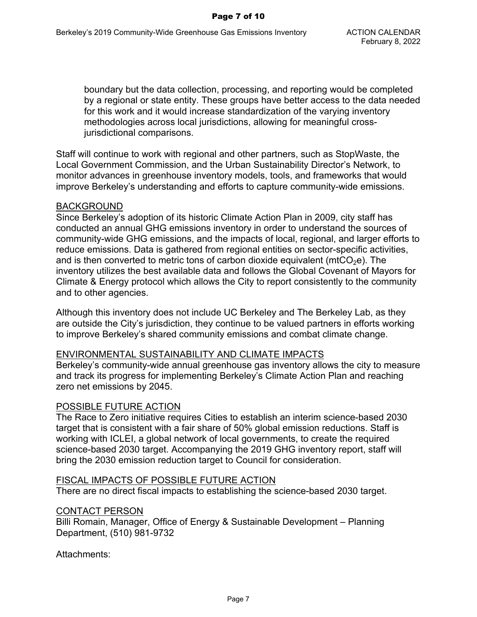boundary but the data collection, processing, and reporting would be completed by a regional or state entity. These groups have better access to the data needed for this work and it would increase standardization of the varying inventory methodologies across local jurisdictions, allowing for meaningful crossjurisdictional comparisons.

Staff will continue to work with regional and other partners, such as StopWaste, the Local Government Commission, and the Urban Sustainability Director's Network, to monitor advances in greenhouse inventory models, tools, and frameworks that would improve Berkeley's understanding and efforts to capture community-wide emissions.

### BACKGROUND

Since Berkeley's adoption of its historic Climate Action Plan in 2009, city staff has conducted an annual GHG emissions inventory in order to understand the sources of community-wide GHG emissions, and the impacts of local, regional, and larger efforts to reduce emissions. Data is gathered from regional entities on sector-specific activities, and is then converted to metric tons of carbon dioxide equivalent (mtCO<sub>2</sub>e). The inventory utilizes the best available data and follows the Global Covenant of Mayors for Climate & Energy protocol which allows the City to report consistently to the community and to other agencies.

Although this inventory does not include UC Berkeley and The Berkeley Lab, as they are outside the City's jurisdiction, they continue to be valued partners in efforts working to improve Berkeley's shared community emissions and combat climate change.

#### ENVIRONMENTAL SUSTAINABILITY AND CLIMATE IMPACTS

Berkeley's community-wide annual greenhouse gas inventory allows the city to measure and track its progress for implementing Berkeley's Climate Action Plan and reaching zero net emissions by 2045.

## POSSIBLE FUTURE ACTION

The Race to Zero initiative requires Cities to establish an interim science-based 2030 target that is consistent with a fair share of 50% global emission reductions. Staff is working with ICLEI, a global network of local governments, to create the required science-based 2030 target. Accompanying the 2019 GHG inventory report, staff will bring the 2030 emission reduction target to Council for consideration.

#### FISCAL IMPACTS OF POSSIBLE FUTURE ACTION

There are no direct fiscal impacts to establishing the science-based 2030 target.

#### CONTACT PERSON

Billi Romain, Manager, Office of Energy & Sustainable Development – Planning Department, (510) 981-9732

Attachments: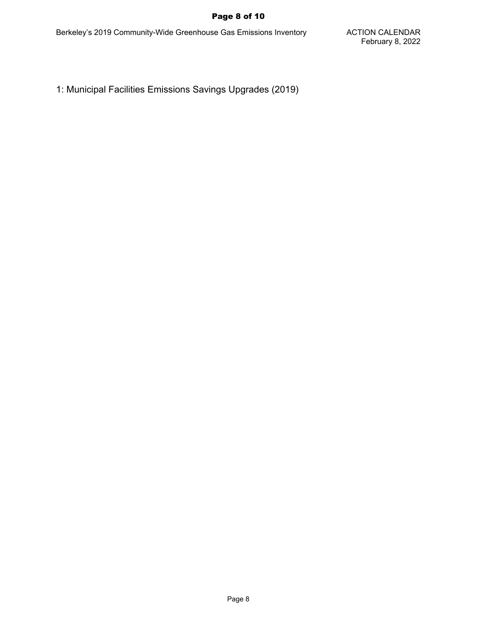### Page 8 of 10

Berkeley's 2019 Community-Wide Greenhouse Gas Emissions Inventory **ACTION CALENDAR** 

1: Municipal Facilities Emissions Savings Upgrades (2019)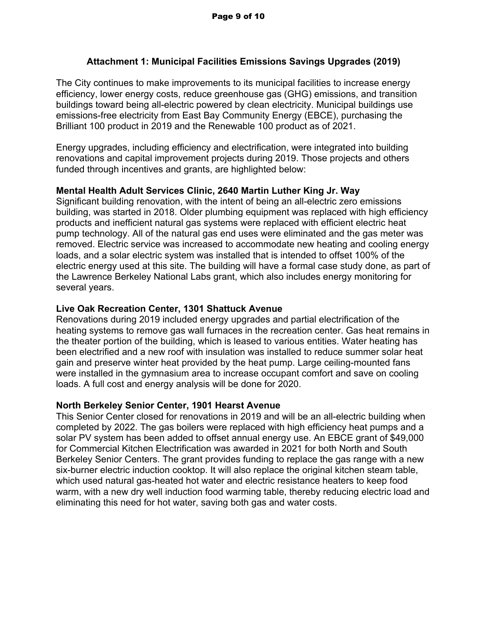# **Attachment 1: Municipal Facilities Emissions Savings Upgrades (2019)**

The City continues to make improvements to its municipal facilities to increase energy efficiency, lower energy costs, reduce greenhouse gas (GHG) emissions, and transition buildings toward being all-electric powered by clean electricity. Municipal buildings use emissions-free electricity from East Bay Community Energy (EBCE), purchasing the Brilliant 100 product in 2019 and the Renewable 100 product as of 2021.

Energy upgrades, including efficiency and electrification, were integrated into building renovations and capital improvement projects during 2019. Those projects and others funded through incentives and grants, are highlighted below:

# **Mental Health Adult Services Clinic, 2640 Martin Luther King Jr. Way**

Significant building renovation, with the intent of being an all-electric zero emissions building, was started in 2018. Older plumbing equipment was replaced with high efficiency products and inefficient natural gas systems were replaced with efficient electric heat pump technology. All of the natural gas end uses were eliminated and the gas meter was removed. Electric service was increased to accommodate new heating and cooling energy loads, and a solar electric system was installed that is intended to offset 100% of the electric energy used at this site. The building will have a formal case study done, as part of the Lawrence Berkeley National Labs grant, which also includes energy monitoring for several years.

## **Live Oak Recreation Center, 1301 Shattuck Avenue**

Renovations during 2019 included energy upgrades and partial electrification of the heating systems to remove gas wall furnaces in the recreation center. Gas heat remains in the theater portion of the building, which is leased to various entities. Water heating has been electrified and a new roof with insulation was installed to reduce summer solar heat gain and preserve winter heat provided by the heat pump. Large ceiling-mounted fans were installed in the gymnasium area to increase occupant comfort and save on cooling loads. A full cost and energy analysis will be done for 2020.

## **North Berkeley Senior Center, 1901 Hearst Avenue**

This Senior Center closed for renovations in 2019 and will be an all-electric building when completed by 2022. The gas boilers were replaced with high efficiency heat pumps and a solar PV system has been added to offset annual energy use. An EBCE grant of \$49,000 for Commercial Kitchen Electrification was awarded in 2021 for both North and South Berkeley Senior Centers. The grant provides funding to replace the gas range with a new six-burner electric induction cooktop. It will also replace the original kitchen steam table, which used natural gas-heated hot water and electric resistance heaters to keep food warm, with a new dry well induction food warming table, thereby reducing electric load and eliminating this need for hot water, saving both gas and water costs.